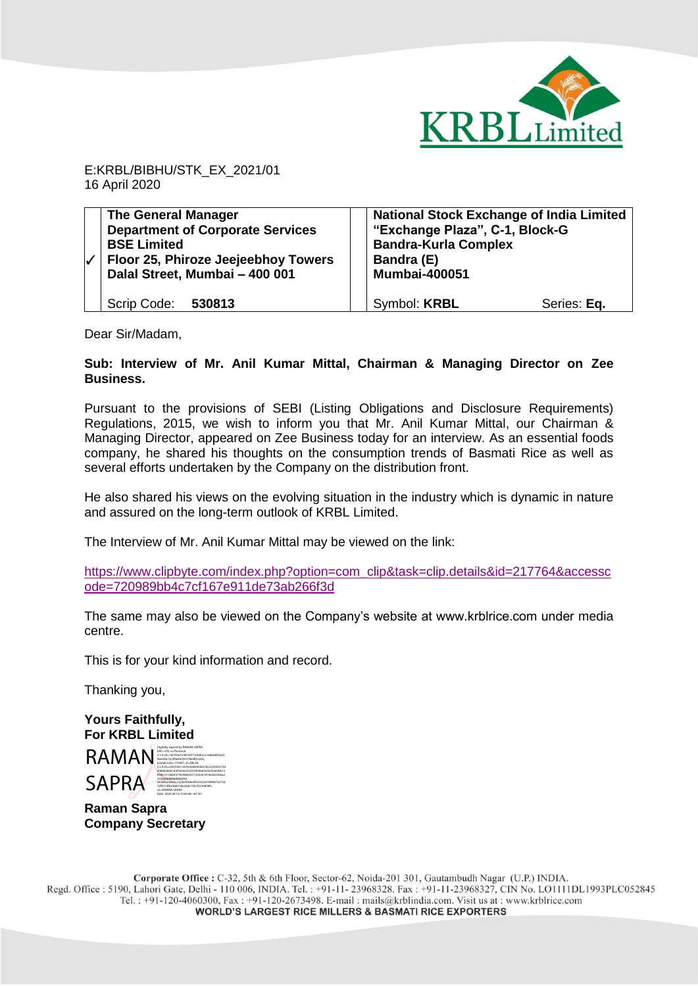

E:KRBL/BIBHU/STK\_EX\_2021/01 16 April 2020

| <b>The General Manager</b><br><b>Department of Corporate Services</b><br><b>BSE Limited</b><br>Floor 25, Phiroze Jeejeebhoy Towers<br>Dalal Street, Mumbai - 400 001 | <b>National Stock Exchange of India Limited</b><br>"Exchange Plaza", C-1, Block-G<br><b>Bandra-Kurla Complex</b><br>Bandra (E)<br><b>Mumbai-400051</b> |
|----------------------------------------------------------------------------------------------------------------------------------------------------------------------|--------------------------------------------------------------------------------------------------------------------------------------------------------|
| Scrip Code: 530813                                                                                                                                                   | Symbol: <b>KRBL</b><br>Series: Eq.                                                                                                                     |

Dear Sir/Madam,

## **Sub: Interview of Mr. Anil Kumar Mittal, Chairman & Managing Director on Zee Business.**

Pursuant to the provisions of SEBI (Listing Obligations and Disclosure Requirements) Regulations, 2015, we wish to inform you that Mr. Anil Kumar Mittal, our Chairman & Managing Director, appeared on Zee Business today for an interview. As an essential foods company, he shared his thoughts on the consumption trends of Basmati Rice as well as several efforts undertaken by the Company on the distribution front.

He also shared his views on the evolving situation in the industry which is dynamic in nature and assured on the long-term outlook of KRBL Limited.

The Interview of Mr. Anil Kumar Mittal may be viewed on the link:

[https://www.clipbyte.com/index.php?option=com\\_clip&task=clip.details&id=217764&accessc](https://www.clipbyte.com/index.php?option=com_clip&task=clip.details&id=217764&accesscode=720989bb4c7cf167e911de73ab266f3d) [ode=720989bb4c7cf167e911de73ab266f3d](https://www.clipbyte.com/index.php?option=com_clip&task=clip.details&id=217764&accesscode=720989bb4c7cf167e911de73ab266f3d)

The same may also be viewed on the Company's website at www.krblrice.com under media centre.

This is for your kind information and record.

Thanking you,

**Yours Faithfully, For KRBL Limited** 

RAMAN SAPRA Digitally signed by RAMAN SAPRA DN: c=IN, o=Personal, 2.5.4.20=18cf30a1544184712dd62ca166b9893ae3 9be03b72c0f4a44c907cf6e8f25d25, postalCode=110007, st=DELHI, 2.5.4.45=0341003135353064393837653339343730 30646266616435636232303930663030356639613 83461313664373439663331323261616636356662 373339646364343930, serialNumber=15cbe9dded45c032a01894d72a7cb 7af4313fb2366016cd2de145cfc530838fc, cn=RAMAN SAPRA Date: 2020.04.16 19:04:48 +05'30'

**Raman Sapra Company Secretary**